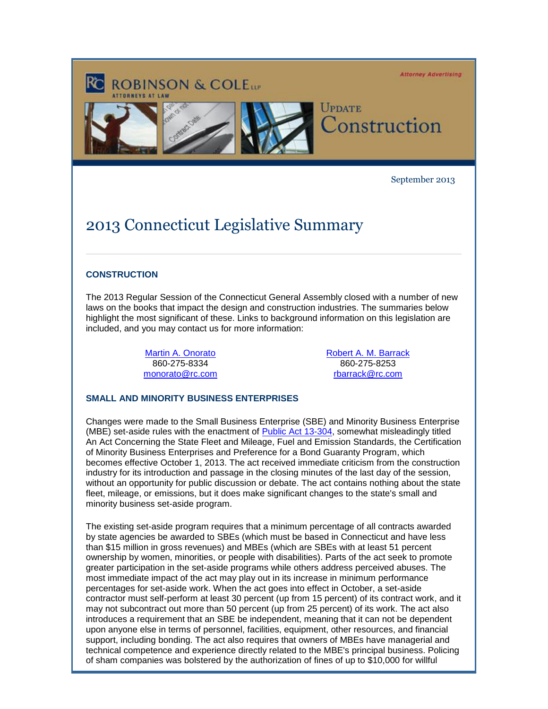**Attorney Advertising** 



September 2013

# 2013 Connecticut Legislative Summary

#### **CONSTRUCTION**

The 2013 Regular Session of the Connecticut General Assembly closed with a number of new laws on the books that impact the design and construction industries. The summaries below highlight the most significant of these. Links to background information on this legislation are included, and you may contact us for more information:

> [Martin A. Onorato](http://cl.exct.net/?ju=fe23177871630d7f761371&ls=fdb4157272670075741d79736d&m=fefb1671756c0d&l=fec811727763027c&s=fe2812727d670c7d771175&jb=ffcf14&t=) 860-275-8334 [monorato@rc.com](mailto:monorato@rc.com)

[Robert A. M. Barrack](http://cl.exct.net/?ju=fe22177871630d7f761372&ls=fdb4157272670075741d79736d&m=fefb1671756c0d&l=fec811727763027c&s=fe2812727d670c7d771175&jb=ffcf14&t=) 860-275-8253 [rbarrack@rc.com](mailto:rbarrack@rc.com)

## **SMALL AND MINORITY BUSINESS ENTERPRISES**

Changes were made to the Small Business Enterprise (SBE) and Minority Business Enterprise (MBE) set-aside rules with the enactment of [Public Act 13-304,](http://cl.exct.net/?ju=fe21177871630d7f761373&ls=fdb4157272670075741d79736d&m=fefb1671756c0d&l=fec811727763027c&s=fe2812727d670c7d771175&jb=ffcf14&t=) somewhat misleadingly titled An Act Concerning the State Fleet and Mileage, Fuel and Emission Standards, the Certification of Minority Business Enterprises and Preference for a Bond Guaranty Program, which becomes effective October 1, 2013. The act received immediate criticism from the construction industry for its introduction and passage in the closing minutes of the last day of the session, without an opportunity for public discussion or debate. The act contains nothing about the state fleet, mileage, or emissions, but it does make significant changes to the state's small and minority business set-aside program.

The existing set-aside program requires that a minimum percentage of all contracts awarded by state agencies be awarded to SBEs (which must be based in Connecticut and have less than \$15 million in gross revenues) and MBEs (which are SBEs with at least 51 percent ownership by women, minorities, or people with disabilities). Parts of the act seek to promote greater participation in the set-aside programs while others address perceived abuses. The most immediate impact of the act may play out in its increase in minimum performance percentages for set-aside work. When the act goes into effect in October, a set-aside contractor must self-perform at least 30 percent (up from 15 percent) of its contract work, and it may not subcontract out more than 50 percent (up from 25 percent) of its work. The act also introduces a requirement that an SBE be independent, meaning that it can not be dependent upon anyone else in terms of personnel, facilities, equipment, other resources, and financial support, including bonding. The act also requires that owners of MBEs have managerial and technical competence and experience directly related to the MBE's principal business. Policing of sham companies was bolstered by the authorization of fines of up to \$10,000 for willful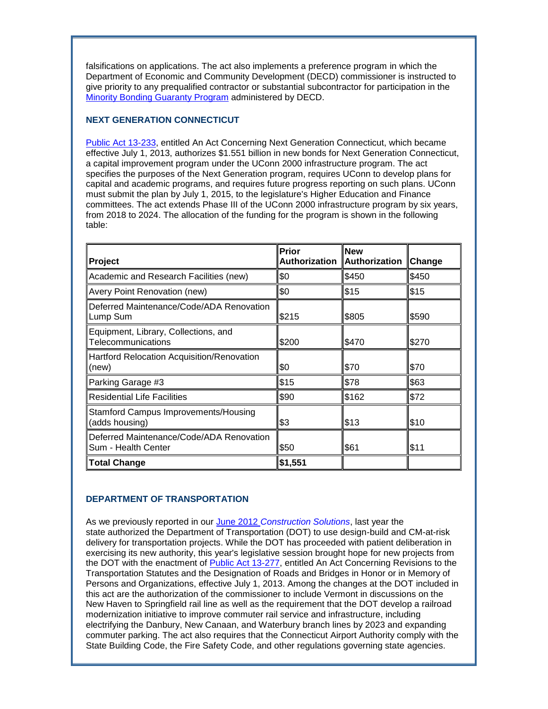falsifications on applications. The act also implements a preference program in which the Department of Economic and Community Development (DECD) commissioner is instructed to give priority to any prequalified contractor or substantial subcontractor for participation in the [Minority Bonding Guaranty Program](http://cl.exct.net/?ju=fe20177871630d7f761374&ls=fdb4157272670075741d79736d&m=fefb1671756c0d&l=fec811727763027c&s=fe2812727d670c7d771175&jb=ffcf14&t=) administered by DECD.

## **NEXT GENERATION CONNECTICUT**

[Public Act 13-233,](http://cl.exct.net/?ju=fe1f177871630d7f761375&ls=fdb4157272670075741d79736d&m=fefb1671756c0d&l=fec811727763027c&s=fe2812727d670c7d771175&jb=ffcf14&t=) entitled An Act Concerning Next Generation Connecticut, which became effective July 1, 2013, authorizes \$1.551 billion in new bonds for Next Generation Connecticut, a capital improvement program under the UConn 2000 infrastructure program. The act specifies the purposes of the Next Generation program, requires UConn to develop plans for capital and academic programs, and requires future progress reporting on such plans. UConn must submit the plan by July 1, 2015, to the legislature's Higher Education and Finance committees. The act extends Phase III of the UConn 2000 infrastructure program by six years, from 2018 to 2024. The allocation of the funding for the program is shown in the following table:

| Project                                                         | Prior<br>Authorization | <b>New</b><br>Authorization | $\blacksquare$ Change |
|-----------------------------------------------------------------|------------------------|-----------------------------|-----------------------|
| Academic and Research Facilities (new)                          | \$0                    | \$450                       | \$450                 |
| Avery Point Renovation (new)                                    | \$0                    | \$15                        | \$15                  |
| Deferred Maintenance/Code/ADA Renovation<br>Lump Sum            | \$215                  | \$805                       | \$590                 |
| Equipment, Library, Collections, and<br>Telecommunications      | \$200                  | \$470                       | \$270                 |
| Hartford Relocation Acquisition/Renovation<br>(new)             | \$0                    | \$70                        | \$70                  |
| Parking Garage #3                                               | \$15                   | \$78                        | \$63                  |
| <b>Residential Life Facilities</b>                              | \$90                   | \$162                       | \$72                  |
| <b>Stamford Campus Improvements/Housing</b><br>(adds housing)   | \$3                    | \$13                        | \$10                  |
| Deferred Maintenance/Code/ADA Renovation<br>Sum - Health Center | \$50                   | \$61                        | \$11                  |
| <b>Total Change</b>                                             | \$1,551                |                             |                       |

## **DEPARTMENT OF TRANSPORTATION**

As we previously reported in our June 2012 *[Construction Solutions](http://cl.exct.net/?ju=fe1e177871630d7f761376&ls=fdb4157272670075741d79736d&m=fefb1671756c0d&l=fec811727763027c&s=fe2812727d670c7d771175&jb=ffcf14&t=)*, last year the state authorized the Department of Transportation (DOT) to use design-build and CM-at-risk delivery for transportation projects. While the DOT has proceeded with patient deliberation in exercising its new authority, this year's legislative session brought hope for new projects from the DOT with the enactment of [Public Act 13-277,](http://cl.exct.net/?ju=fe1d177871630d7f761377&ls=fdb4157272670075741d79736d&m=fefb1671756c0d&l=fec811727763027c&s=fe2812727d670c7d771175&jb=ffcf14&t=) entitled An Act Concerning Revisions to the Transportation Statutes and the Designation of Roads and Bridges in Honor or in Memory of Persons and Organizations, effective July 1, 2013. Among the changes at the DOT included in this act are the authorization of the commissioner to include Vermont in discussions on the New Haven to Springfield rail line as well as the requirement that the DOT develop a railroad modernization initiative to improve commuter rail service and infrastructure, including electrifying the Danbury, New Canaan, and Waterbury branch lines by 2023 and expanding commuter parking. The act also requires that the Connecticut Airport Authority comply with the State Building Code, the Fire Safety Code, and other regulations governing state agencies.